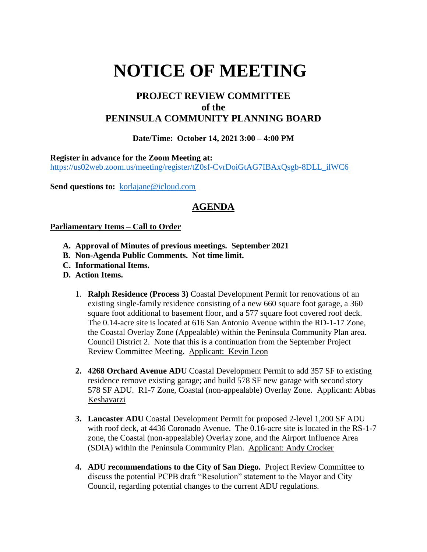# **NOTICE OF MEETING**

## **PROJECT REVIEW COMMITTEE of the PENINSULA COMMUNITY PLANNING BOARD**

### **Date/Time: October 14, 2021 3:00 – 4:00 PM**

**Register in advance for the Zoom Meeting at:**

[https://us02web.zoom.us/meeting/register/tZ0sf-CvrDoiGtAG7IBAxQsgb-8DLL\\_ilWC6](https://us02web.zoom.us/meeting/register/tZ0sf-CvrDoiGtAG7IBAxQsgb-8DLL_ilWC6)

Send questions to: [korlajane@icloud.com](mailto:korlajane@icloud.com)

## **AGENDA**

#### **Parliamentary Items – Call to Order**

- **A. Approval of Minutes of previous meetings. September 2021**
- **B. Non-Agenda Public Comments. Not time limit.**
- **C. Informational Items.**
- **D. Action Items.** 
	- 1. **Ralph Residence (Process 3)** Coastal Development Permit for renovations of an existing single-family residence consisting of a new 660 square foot garage, a 360 square foot additional to basement floor, and a 577 square foot covered roof deck. The 0.14-acre site is located at 616 San Antonio Avenue within the RD-1-17 Zone, the Coastal Overlay Zone (Appealable) within the Peninsula Community Plan area. Council District 2. Note that this is a continuation from the September Project Review Committee Meeting. Applicant: Kevin Leon
	- **2. 4268 Orchard Avenue ADU** Coastal Development Permit to add 357 SF to existing residence remove existing garage; and build 578 SF new garage with second story 578 SF ADU. R1-7 Zone, Coastal (non-appealable) Overlay Zone. Applicant: Abbas Keshavarzi
	- **3. Lancaster ADU** Coastal Development Permit for proposed 2-level 1,200 SF ADU with roof deck, at 4436 Coronado Avenue. The 0.16-acre site is located in the RS-1-7 zone, the Coastal (non-appealable) Overlay zone, and the Airport Influence Area (SDIA) within the Peninsula Community Plan. Applicant: Andy Crocker
	- **4. ADU recommendations to the City of San Diego.** Project Review Committee to discuss the potential PCPB draft "Resolution" statement to the Mayor and City Council, regarding potential changes to the current ADU regulations.